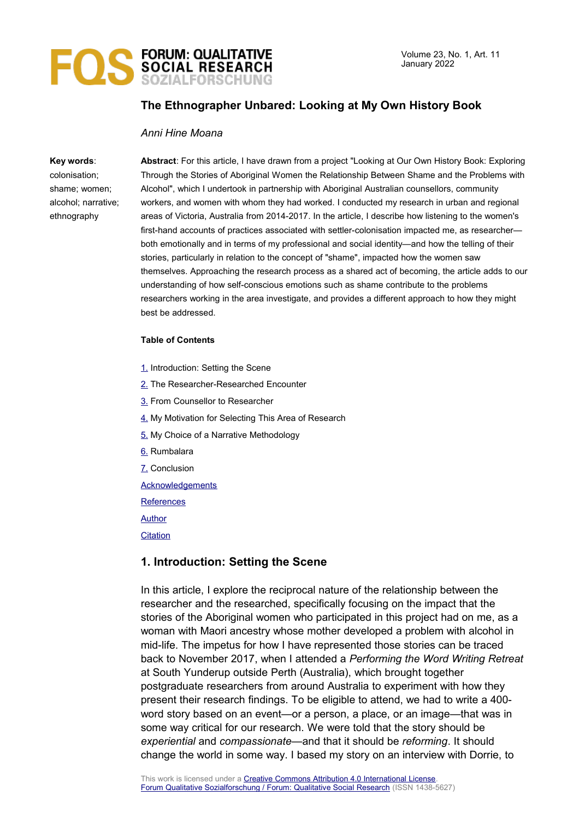

# **The Ethnographer Unbared: Looking at My Own History Book**

#### *Anni Hine Moana*

#### **Key words**:

colonisation; shame; women; alcohol; narrative; ethnography

**Abstract**: For this article, I have drawn from a project "Looking at Our Own History Book: Exploring Through the Stories of Aboriginal Women the Relationship Between Shame and the Problems with Alcohol", which I undertook in partnership with Aboriginal Australian counsellors, community workers, and women with whom they had worked. I conducted my research in urban and regional areas of Victoria, Australia from 2014-2017. In the article, I describe how listening to the women's first-hand accounts of practices associated with settler-colonisation impacted me, as researcher both emotionally and in terms of my professional and social identity—and how the telling of their stories, particularly in relation to the concept of "shame", impacted how the women saw themselves. Approaching the research process as a shared act of becoming, the article adds to our understanding of how self-conscious emotions such as shame contribute to the problems researchers working in the area investigate, and provides a different approach to how they might best be addressed.

#### **Table of Contents**

- [1.](#page-0-0) Introduction: Setting the Scene
- [2.](#page-3-0) The Researcher-Researched Encounter
- [3.](#page-4-0) From Counsellor to Researcher
- [4.](#page-10-0) My Motivation for Selecting This Area of Research
- [5.](#page-14-0) My Choice of a Narrative Methodology
- [6.](#page-15-0) Rumbalara
- [7.](#page-17-0) Conclusion

[Acknowledgements](#page-18-1)

**[References](#page-18-0)** 

[Author](#page-21-1)

**[Citation](#page-21-0)** 

# <span id="page-0-0"></span>**1. Introduction: Setting the Scene**

In this article, I explore the reciprocal nature of the relationship between the researcher and the researched, specifically focusing on the impact that the stories of the Aboriginal women who participated in this project had on me, as a woman with Maori ancestry whose mother developed a problem with alcohol in mid-life. The impetus for how I have represented those stories can be traced back to November 2017, when I attended a *Performing the Word Writing Retreat* at South Yunderup outside Perth (Australia), which brought together postgraduate researchers from around Australia to experiment with how they present their research findings. To be eligible to attend, we had to write a 400 word story based on an event—or a person, a place, or an image—that was in some way critical for our research. We were told that the story should be *experiential* and *compassionate*—and that it should be *reforming*. It should change the world in some way. I based my story on an interview with Dorrie, to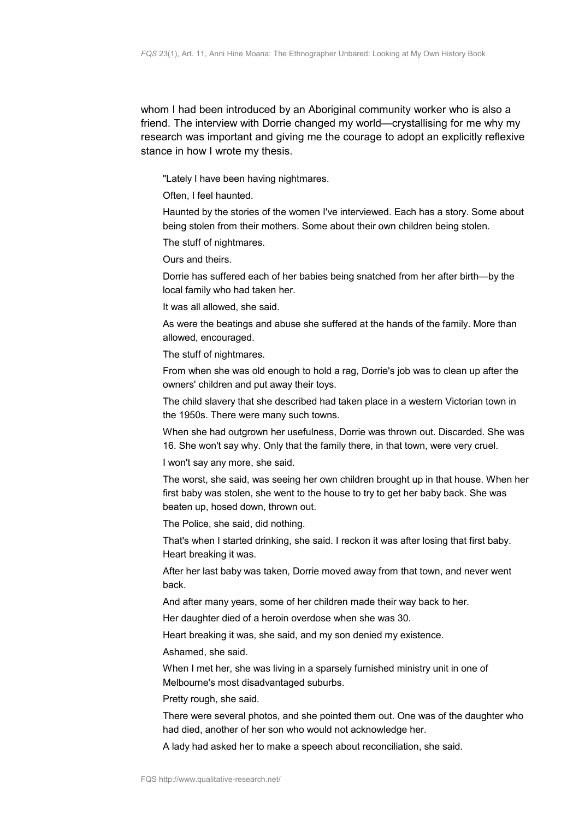whom I had been introduced by an Aboriginal community worker who is also a friend. The interview with Dorrie changed my world—crystallising for me why my research was important and giving me the courage to adopt an explicitly reflexive stance in how I wrote my thesis.

"Lately I have been having nightmares.

Often, I feel haunted.

Haunted by the stories of the women I've interviewed. Each has a story. Some about being stolen from their mothers. Some about their own children being stolen.

The stuff of nightmares.

Ours and theirs.

Dorrie has suffered each of her babies being snatched from her after birth—by the local family who had taken her.

It was all allowed, she said.

As were the beatings and abuse she suffered at the hands of the family. More than allowed, encouraged.

The stuff of nightmares.

From when she was old enough to hold a rag, Dorrie's job was to clean up after the owners' children and put away their toys.

The child slavery that she described had taken place in a western Victorian town in the 1950s. There were many such towns.

When she had outgrown her usefulness, Dorrie was thrown out. Discarded. She was 16. She won't say why. Only that the family there, in that town, were very cruel.

I won't say any more, she said.

The worst, she said, was seeing her own children brought up in that house. When her first baby was stolen, she went to the house to try to get her baby back. She was beaten up, hosed down, thrown out.

The Police, she said, did nothing.

That's when I started drinking, she said. I reckon it was after losing that first baby. Heart breaking it was.

After her last baby was taken, Dorrie moved away from that town, and never went back.

And after many years, some of her children made their way back to her.

Her daughter died of a heroin overdose when she was 30.

Heart breaking it was, she said, and my son denied my existence.

Ashamed, she said.

When I met her, she was living in a sparsely furnished ministry unit in one of Melbourne's most disadvantaged suburbs.

Pretty rough, she said.

There were several photos, and she pointed them out. One was of the daughter who had died, another of her son who would not acknowledge her.

A lady had asked her to make a speech about reconciliation, she said.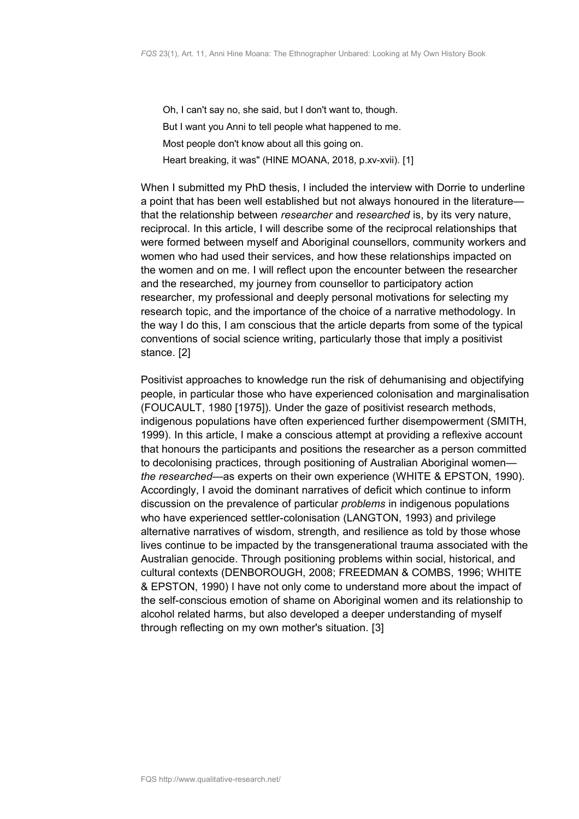Oh, I can't say no, she said, but I don't want to, though. But I want you Anni to tell people what happened to me. Most people don't know about all this going on. Heart breaking, it was" (HINE MOANA, 2018, p.xv-xvii). [1]

When I submitted my PhD thesis, I included the interview with Dorrie to underline a point that has been well established but not always honoured in the literature that the relationship between *researcher* and *researched* is, by its very nature, reciprocal. In this article, I will describe some of the reciprocal relationships that were formed between myself and Aboriginal counsellors, community workers and women who had used their services, and how these relationships impacted on the women and on me. I will reflect upon the encounter between the researcher and the researched, my journey from counsellor to participatory action researcher, my professional and deeply personal motivations for selecting my research topic, and the importance of the choice of a narrative methodology. In the way I do this, I am conscious that the article departs from some of the typical conventions of social science writing, particularly those that imply a positivist stance. [2]

Positivist approaches to knowledge run the risk of dehumanising and objectifying people, in particular those who have experienced colonisation and marginalisation (FOUCAULT, 1980 [1975]). Under the gaze of positivist research methods, indigenous populations have often experienced further disempowerment (SMITH, 1999). In this article, I make a conscious attempt at providing a reflexive account that honours the participants and positions the researcher as a person committed to decolonising practices, through positioning of Australian Aboriginal women *the researched*—as experts on their own experience (WHITE & EPSTON, 1990). Accordingly, I avoid the dominant narratives of deficit which continue to inform discussion on the prevalence of particular *problems* in indigenous populations who have experienced settler-colonisation (LANGTON, 1993) and privilege alternative narratives of wisdom, strength, and resilience as told by those whose lives continue to be impacted by the transgenerational trauma associated with the Australian genocide. Through positioning problems within social, historical, and cultural contexts (DENBOROUGH, 2008; FREEDMAN & COMBS, 1996; WHITE & EPSTON, 1990) I have not only come to understand more about the impact of the self-conscious emotion of shame on Aboriginal women and its relationship to alcohol related harms, but also developed a deeper understanding of myself through reflecting on my own mother's situation. [3]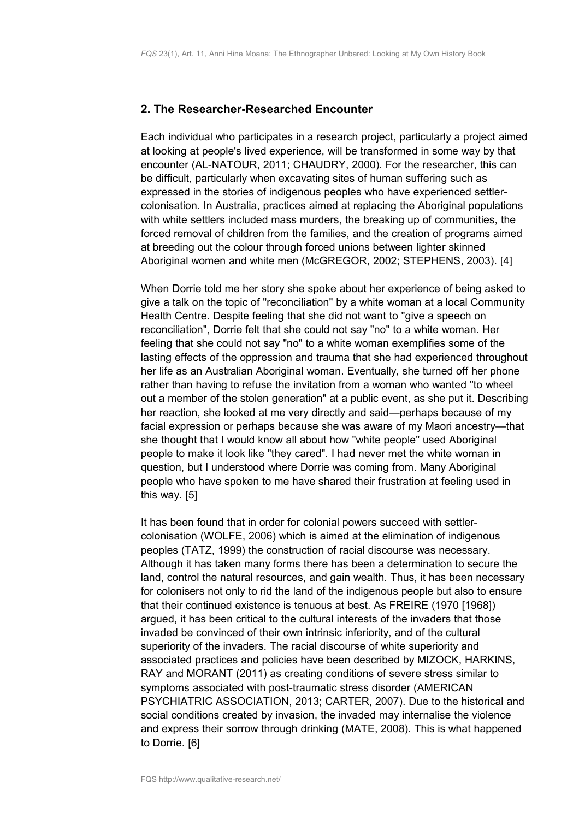#### <span id="page-3-0"></span>**2. The Researcher-Researched Encounter**

Each individual who participates in a research project, particularly a project aimed at looking at people's lived experience, will be transformed in some way by that encounter (AL-NATOUR, 2011; CHAUDRY, 2000). For the researcher, this can be difficult, particularly when excavating sites of human suffering such as expressed in the stories of indigenous peoples who have experienced settlercolonisation. In Australia, practices aimed at replacing the Aboriginal populations with white settlers included mass murders, the breaking up of communities, the forced removal of children from the families, and the creation of programs aimed at breeding out the colour through forced unions between lighter skinned Aboriginal women and white men (McGREGOR, 2002; STEPHENS, 2003). [4]

When Dorrie told me her story she spoke about her experience of being asked to give a talk on the topic of "reconciliation" by a white woman at a local Community Health Centre. Despite feeling that she did not want to "give a speech on reconciliation", Dorrie felt that she could not say "no" to a white woman. Her feeling that she could not say "no" to a white woman exemplifies some of the lasting effects of the oppression and trauma that she had experienced throughout her life as an Australian Aboriginal woman. Eventually, she turned off her phone rather than having to refuse the invitation from a woman who wanted "to wheel out a member of the stolen generation" at a public event, as she put it. Describing her reaction, she looked at me very directly and said—perhaps because of my facial expression or perhaps because she was aware of my Maori ancestry—that she thought that I would know all about how "white people" used Aboriginal people to make it look like "they cared". I had never met the white woman in question, but I understood where Dorrie was coming from. Many Aboriginal people who have spoken to me have shared their frustration at feeling used in this way. [5]

It has been found that in order for colonial powers succeed with settlercolonisation (WOLFE, 2006) which is aimed at the elimination of indigenous peoples (TATZ, 1999) the construction of racial discourse was necessary. Although it has taken many forms there has been a determination to secure the land, control the natural resources, and gain wealth. Thus, it has been necessary for colonisers not only to rid the land of the indigenous people but also to ensure that their continued existence is tenuous at best. As FREIRE (1970 [1968]) argued, it has been critical to the cultural interests of the invaders that those invaded be convinced of their own intrinsic inferiority, and of the cultural superiority of the invaders. The racial discourse of white superiority and associated practices and policies have been described by MIZOCK, HARKINS, RAY and MORANT (2011) as creating conditions of severe stress similar to symptoms associated with post-traumatic stress disorder (AMERICAN PSYCHIATRIC ASSOCIATION, 2013; CARTER, 2007). Due to the historical and social conditions created by invasion, the invaded may internalise the violence and express their sorrow through drinking (MATE, 2008). This is what happened to Dorrie. [6]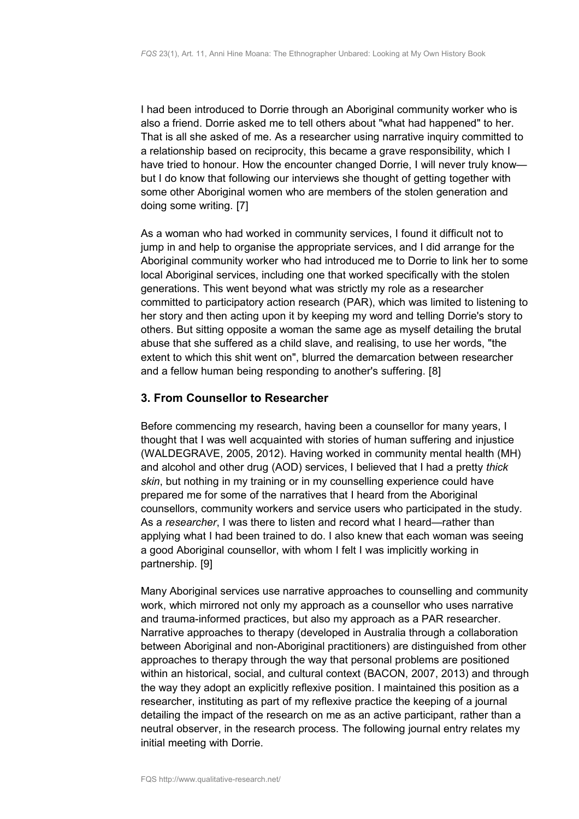I had been introduced to Dorrie through an Aboriginal community worker who is also a friend. Dorrie asked me to tell others about "what had happened" to her. That is all she asked of me. As a researcher using narrative inquiry committed to a relationship based on reciprocity, this became a grave responsibility, which I have tried to honour. How the encounter changed Dorrie, I will never truly know but I do know that following our interviews she thought of getting together with some other Aboriginal women who are members of the stolen generation and doing some writing. [7]

As a woman who had worked in community services, I found it difficult not to jump in and help to organise the appropriate services, and I did arrange for the Aboriginal community worker who had introduced me to Dorrie to link her to some local Aboriginal services, including one that worked specifically with the stolen generations. This went beyond what was strictly my role as a researcher committed to participatory action research (PAR), which was limited to listening to her story and then acting upon it by keeping my word and telling Dorrie's story to others. But sitting opposite a woman the same age as myself detailing the brutal abuse that she suffered as a child slave, and realising, to use her words, "the extent to which this shit went on", blurred the demarcation between researcher and a fellow human being responding to another's suffering. [8]

# <span id="page-4-0"></span>**3. From Counsellor to Researcher**

Before commencing my research, having been a counsellor for many years, I thought that I was well acquainted with stories of human suffering and injustice (WALDEGRAVE, 2005, 2012). Having worked in community mental health (MH) and alcohol and other drug (AOD) services, I believed that I had a pretty *thick skin*, but nothing in my training or in my counselling experience could have prepared me for some of the narratives that I heard from the Aboriginal counsellors, community workers and service users who participated in the study. As a *researcher*, I was there to listen and record what I heard—rather than applying what I had been trained to do. I also knew that each woman was seeing a good Aboriginal counsellor, with whom I felt I was implicitly working in partnership. [9]

Many Aboriginal services use narrative approaches to counselling and community work, which mirrored not only my approach as a counsellor who uses narrative and trauma-informed practices, but also my approach as a PAR researcher. Narrative approaches to therapy (developed in Australia through a collaboration between Aboriginal and non-Aboriginal practitioners) are distinguished from other approaches to therapy through the way that personal problems are positioned within an historical, social, and cultural context (BACON, 2007, 2013) and through the way they adopt an explicitly reflexive position. I maintained this position as a researcher, instituting as part of my reflexive practice the keeping of a journal detailing the impact of the research on me as an active participant, rather than a neutral observer, in the research process. The following journal entry relates my initial meeting with Dorrie.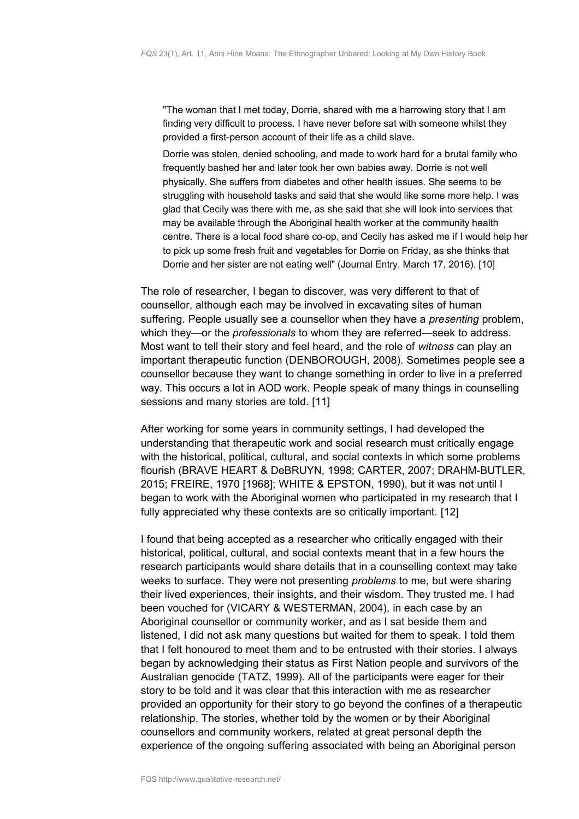"The woman that I met today, Dorrie, shared with me a harrowing story that I am finding very difficult to process. I have never before sat with someone whilst they provided a first-person account of their life as a child slave.

Dorrie was stolen, denied schooling, and made to work hard for a brutal family who frequently bashed her and later took her own babies away. Dorrie is not well physically. She suffers from diabetes and other health issues. She seems to be struggling with household tasks and said that she would like some more help. I was glad that Cecily was there with me, as she said that she will look into services that may be available through the Aboriginal health worker at the community health centre. There is a local food share co-op, and Cecily has asked me if I would help her to pick up some fresh fruit and vegetables for Dorrie on Friday, as she thinks that Dorrie and her sister are not eating well" (Journal Entry, March 17, 2016). [10]

The role of researcher, I began to discover, was very different to that of counsellor, although each may be involved in excavating sites of human suffering. People usually see a counsellor when they have a *presenting* problem, which they—or the *professionals* to whom they are referred—seek to address. Most want to tell their story and feel heard, and the role of *witness* can play an important therapeutic function (DENBOROUGH, 2008). Sometimes people see a counsellor because they want to change something in order to live in a preferred way. This occurs a lot in AOD work. People speak of many things in counselling sessions and many stories are told. [11]

After working for some years in community settings, I had developed the understanding that therapeutic work and social research must critically engage with the historical, political, cultural, and social contexts in which some problems flourish (BRAVE HEART & DeBRUYN, 1998; CARTER, 2007; DRAHM-BUTLER, 2015; FREIRE, 1970 [1968]; WHITE & EPSTON, 1990), but it was not until I began to work with the Aboriginal women who participated in my research that I fully appreciated why these contexts are so critically important. [12]

I found that being accepted as a researcher who critically engaged with their historical, political, cultural, and social contexts meant that in a few hours the research participants would share details that in a counselling context may take weeks to surface. They were not presenting *problems* to me, but were sharing their lived experiences, their insights, and their wisdom. They trusted me. I had been vouched for (VICARY & WESTERMAN, 2004), in each case by an Aboriginal counsellor or community worker, and as I sat beside them and listened, I did not ask many questions but waited for them to speak. I told them that I felt honoured to meet them and to be entrusted with their stories. I always began by acknowledging their status as First Nation people and survivors of the Australian genocide (TATZ, 1999). All of the participants were eager for their story to be told and it was clear that this interaction with me as researcher provided an opportunity for their story to go beyond the confines of a therapeutic relationship. The stories, whether told by the women or by their Aboriginal counsellors and community workers, related at great personal depth the experience of the ongoing suffering associated with being an Aboriginal person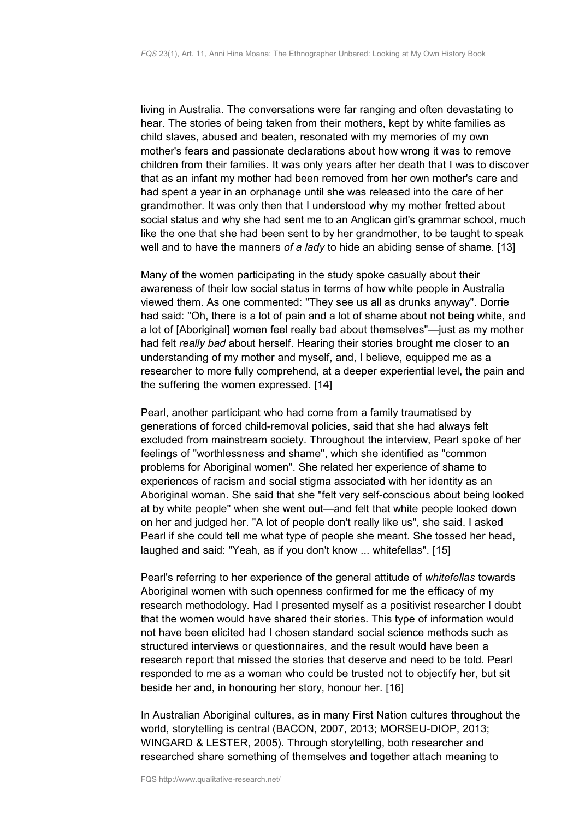living in Australia. The conversations were far ranging and often devastating to hear. The stories of being taken from their mothers, kept by white families as child slaves, abused and beaten, resonated with my memories of my own mother's fears and passionate declarations about how wrong it was to remove children from their families. It was only years after her death that I was to discover that as an infant my mother had been removed from her own mother's care and had spent a year in an orphanage until she was released into the care of her grandmother. It was only then that I understood why my mother fretted about social status and why she had sent me to an Anglican girl's grammar school, much like the one that she had been sent to by her grandmother, to be taught to speak well and to have the manners *of a lady* to hide an abiding sense of shame. [13]

Many of the women participating in the study spoke casually about their awareness of their low social status in terms of how white people in Australia viewed them. As one commented: "They see us all as drunks anyway". Dorrie had said: "Oh, there is a lot of pain and a lot of shame about not being white, and a lot of [Aboriginal] women feel really bad about themselves"—just as my mother had felt *really bad* about herself. Hearing their stories brought me closer to an understanding of my mother and myself, and, I believe, equipped me as a researcher to more fully comprehend, at a deeper experiential level, the pain and the suffering the women expressed. [14]

Pearl, another participant who had come from a family traumatised by generations of forced child-removal policies, said that she had always felt excluded from mainstream society. Throughout the interview, Pearl spoke of her feelings of "worthlessness and shame", which she identified as "common problems for Aboriginal women". She related her experience of shame to experiences of racism and social stigma associated with her identity as an Aboriginal woman. She said that she "felt very self-conscious about being looked at by white people" when she went out—and felt that white people looked down on her and judged her. "A lot of people don't really like us", she said. I asked Pearl if she could tell me what type of people she meant. She tossed her head, laughed and said: "Yeah, as if you don't know ... whitefellas". [15]

Pearl's referring to her experience of the general attitude of *whitefellas* towards Aboriginal women with such openness confirmed for me the efficacy of my research methodology. Had I presented myself as a positivist researcher I doubt that the women would have shared their stories. This type of information would not have been elicited had I chosen standard social science methods such as structured interviews or questionnaires, and the result would have been a research report that missed the stories that deserve and need to be told. Pearl responded to me as a woman who could be trusted not to objectify her, but sit beside her and, in honouring her story, honour her. [16]

In Australian Aboriginal cultures, as in many First Nation cultures throughout the world, storytelling is central (BACON, 2007, 2013; MORSEU-DIOP, 2013; WINGARD & LESTER, 2005). Through storytelling, both researcher and researched share something of themselves and together attach meaning to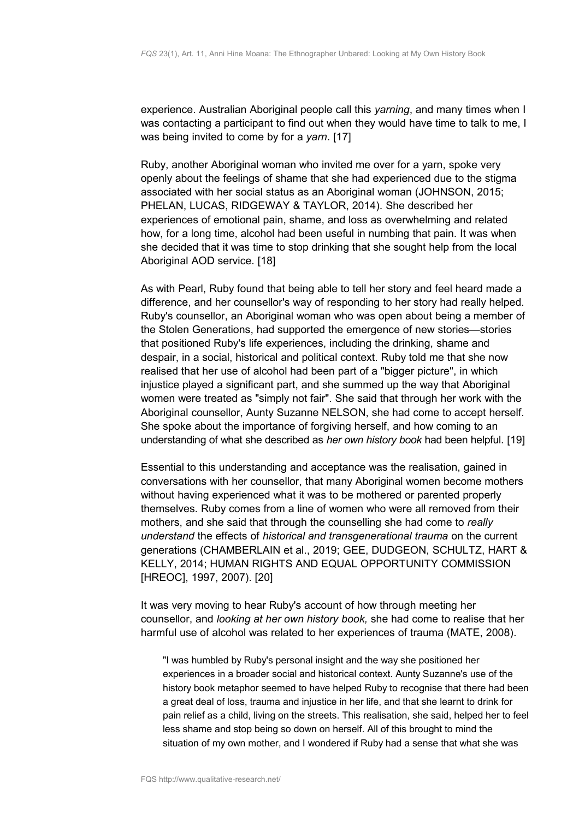experience. Australian Aboriginal people call this *yarning*, and many times when I was contacting a participant to find out when they would have time to talk to me, I was being invited to come by for a *yarn*. [17]

Ruby, another Aboriginal woman who invited me over for a yarn, spoke very openly about the feelings of shame that she had experienced due to the stigma associated with her social status as an Aboriginal woman (JOHNSON, 2015; PHELAN, LUCAS, RIDGEWAY & TAYLOR, 2014). She described her experiences of emotional pain, shame, and loss as overwhelming and related how, for a long time, alcohol had been useful in numbing that pain. It was when she decided that it was time to stop drinking that she sought help from the local Aboriginal AOD service. [18]

As with Pearl, Ruby found that being able to tell her story and feel heard made a difference, and her counsellor's way of responding to her story had really helped. Ruby's counsellor, an Aboriginal woman who was open about being a member of the Stolen Generations, had supported the emergence of new stories—stories that positioned Ruby's life experiences, including the drinking, shame and despair, in a social, historical and political context. Ruby told me that she now realised that her use of alcohol had been part of a "bigger picture", in which injustice played a significant part, and she summed up the way that Aboriginal women were treated as "simply not fair". She said that through her work with the Aboriginal counsellor, Aunty Suzanne NELSON, she had come to accept herself. She spoke about the importance of forgiving herself, and how coming to an understanding of what she described as *her own history book* had been helpful. [19]

Essential to this understanding and acceptance was the realisation, gained in conversations with her counsellor, that many Aboriginal women become mothers without having experienced what it was to be mothered or parented properly themselves*.* Ruby comes from a line of women who were all removed from their mothers, and she said that through the counselling she had come to *really understand* the effects of *historical and transgenerational trauma* on the current generations (CHAMBERLAIN et al., 2019; GEE, DUDGEON, SCHULTZ, HART & KELLY, 2014; HUMAN RIGHTS AND EQUAL OPPORTUNITY COMMISSION [HREOC], 1997, 2007). [20]

It was very moving to hear Ruby's account of how through meeting her counsellor, and *looking at her own history book,* she had come to realise that her harmful use of alcohol was related to her experiences of trauma (MATE, 2008)*.*

"I was humbled by Ruby's personal insight and the way she positioned her experiences in a broader social and historical context. Aunty Suzanne's use of the history book metaphor seemed to have helped Ruby to recognise that there had been a great deal of loss, trauma and injustice in her life, and that she learnt to drink for pain relief as a child, living on the streets. This realisation, she said, helped her to feel less shame and stop being so down on herself. All of this brought to mind the situation of my own mother, and I wondered if Ruby had a sense that what she was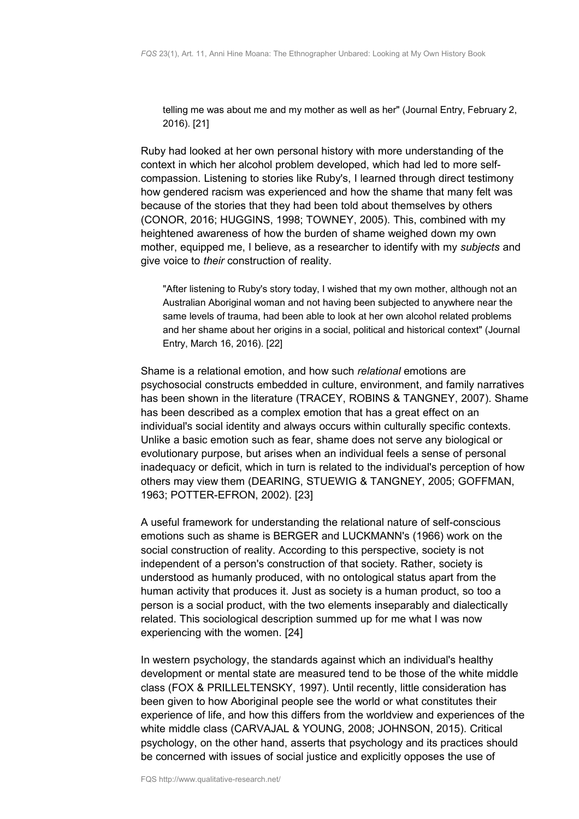telling me was about me and my mother as well as her" (Journal Entry, February 2, 2016). [21]

Ruby had looked at her own personal history with more understanding of the context in which her alcohol problem developed, which had led to more selfcompassion. Listening to stories like Ruby's, I learned through direct testimony how gendered racism was experienced and how the shame that many felt was because of the stories that they had been told about themselves by others (CONOR, 2016; HUGGINS, 1998; TOWNEY, 2005). This, combined with my heightened awareness of how the burden of shame weighed down my own mother, equipped me, I believe, as a researcher to identify with my *subjects* and give voice to *their* construction of reality.

"After listening to Ruby's story today, I wished that my own mother, although not an Australian Aboriginal woman and not having been subjected to anywhere near the same levels of trauma, had been able to look at her own alcohol related problems and her shame about her origins in a social, political and historical context" (Journal Entry, March 16, 2016). [22]

Shame is a relational emotion, and how such *relational* emotions are psychosocial constructs embedded in culture, environment, and family narratives has been shown in the literature (TRACEY, ROBINS & TANGNEY, 2007). Shame has been described as a complex emotion that has a great effect on an individual's social identity and always occurs within culturally specific contexts. Unlike a basic emotion such as fear, shame does not serve any biological or evolutionary purpose, but arises when an individual feels a sense of personal inadequacy or deficit, which in turn is related to the individual's perception of how others may view them (DEARING, STUEWIG & TANGNEY, 2005; GOFFMAN, 1963; POTTER-EFRON, 2002). [23]

A useful framework for understanding the relational nature of self-conscious emotions such as shame is BERGER and LUCKMANN's (1966) work on the social construction of reality. According to this perspective, society is not independent of a person's construction of that society. Rather, society is understood as humanly produced, with no ontological status apart from the human activity that produces it. Just as society is a human product, so too a person is a social product, with the two elements inseparably and dialectically related. This sociological description summed up for me what I was now experiencing with the women. [24]

In western psychology, the standards against which an individual's healthy development or mental state are measured tend to be those of the white middle class (FOX & PRILLELTENSKY, 1997). Until recently, little consideration has been given to how Aboriginal people see the world or what constitutes their experience of life, and how this differs from the worldview and experiences of the white middle class (CARVAJAL & YOUNG, 2008; JOHNSON, 2015). Critical psychology, on the other hand, asserts that psychology and its practices should be concerned with issues of social justice and explicitly opposes the use of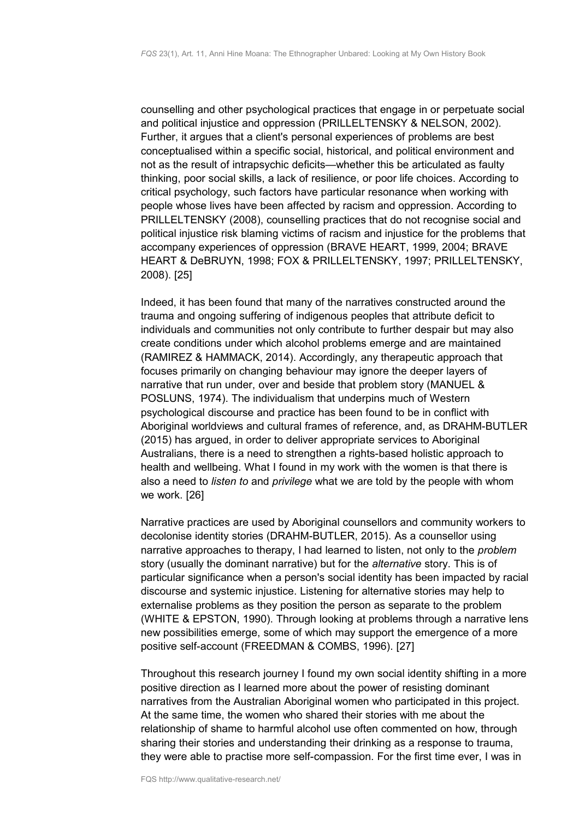counselling and other psychological practices that engage in or perpetuate social and political injustice and oppression (PRILLELTENSKY & NELSON, 2002). Further, it argues that a client's personal experiences of problems are best conceptualised within a specific social, historical, and political environment and not as the result of intrapsychic deficits—whether this be articulated as faulty thinking, poor social skills, a lack of resilience, or poor life choices. According to critical psychology, such factors have particular resonance when working with people whose lives have been affected by racism and oppression. According to PRILLELTENSKY (2008), counselling practices that do not recognise social and political injustice risk blaming victims of racism and injustice for the problems that accompany experiences of oppression (BRAVE HEART, 1999, 2004; BRAVE HEART & DeBRUYN, 1998; FOX & PRILLELTENSKY, 1997; PRILLELTENSKY, 2008). [25]

Indeed, it has been found that many of the narratives constructed around the trauma and ongoing suffering of indigenous peoples that attribute deficit to individuals and communities not only contribute to further despair but may also create conditions under which alcohol problems emerge and are maintained (RAMIREZ & HAMMACK, 2014). Accordingly, any therapeutic approach that focuses primarily on changing behaviour may ignore the deeper layers of narrative that run under, over and beside that problem story (MANUEL & POSLUNS, 1974). The individualism that underpins much of Western psychological discourse and practice has been found to be in conflict with Aboriginal worldviews and cultural frames of reference, and, as DRAHM-BUTLER (2015) has argued, in order to deliver appropriate services to Aboriginal Australians, there is a need to strengthen a rights-based holistic approach to health and wellbeing. What I found in my work with the women is that there is also a need to *listen to* and *privilege* what we are told by the people with whom we work. [26]

Narrative practices are used by Aboriginal counsellors and community workers to decolonise identity stories (DRAHM-BUTLER, 2015). As a counsellor using narrative approaches to therapy, I had learned to listen, not only to the *problem* story (usually the dominant narrative) but for the *alternative* story. This is of particular significance when a person's social identity has been impacted by racial discourse and systemic injustice. Listening for alternative stories may help to externalise problems as they position the person as separate to the problem (WHITE & EPSTON, 1990). Through looking at problems through a narrative lens new possibilities emerge, some of which may support the emergence of a more positive self-account (FREEDMAN & COMBS, 1996). [27]

Throughout this research journey I found my own social identity shifting in a more positive direction as I learned more about the power of resisting dominant narratives from the Australian Aboriginal women who participated in this project. At the same time, the women who shared their stories with me about the relationship of shame to harmful alcohol use often commented on how, through sharing their stories and understanding their drinking as a response to trauma, they were able to practise more self-compassion. For the first time ever, I was in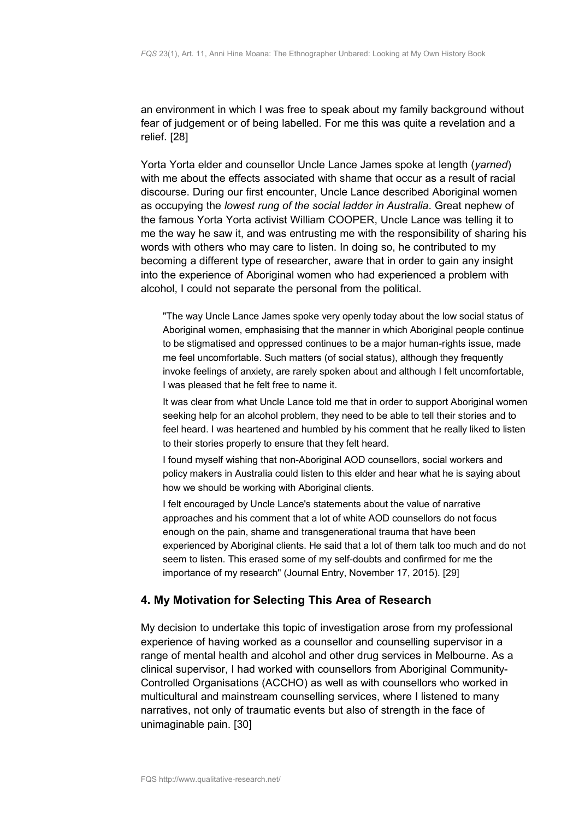an environment in which I was free to speak about my family background without fear of judgement or of being labelled. For me this was quite a revelation and a relief. [28]

Yorta Yorta elder and counsellor Uncle Lance James spoke at length (*yarned*) with me about the effects associated with shame that occur as a result of racial discourse. During our first encounter, Uncle Lance described Aboriginal women as occupying the *lowest rung of the social ladder in Australia*. Great nephew of the famous Yorta Yorta activist William COOPER, Uncle Lance was telling it to me the way he saw it, and was entrusting me with the responsibility of sharing his words with others who may care to listen. In doing so, he contributed to my becoming a different type of researcher, aware that in order to gain any insight into the experience of Aboriginal women who had experienced a problem with alcohol, I could not separate the personal from the political.

"The way Uncle Lance James spoke very openly today about the low social status of Aboriginal women, emphasising that the manner in which Aboriginal people continue to be stigmatised and oppressed continues to be a major human-rights issue, made me feel uncomfortable. Such matters (of social status), although they frequently invoke feelings of anxiety, are rarely spoken about and although I felt uncomfortable, I was pleased that he felt free to name it.

It was clear from what Uncle Lance told me that in order to support Aboriginal women seeking help for an alcohol problem, they need to be able to tell their stories and to feel heard. I was heartened and humbled by his comment that he really liked to listen to their stories properly to ensure that they felt heard.

I found myself wishing that non-Aboriginal AOD counsellors, social workers and policy makers in Australia could listen to this elder and hear what he is saying about how we should be working with Aboriginal clients.

I felt encouraged by Uncle Lance's statements about the value of narrative approaches and his comment that a lot of white AOD counsellors do not focus enough on the pain, shame and transgenerational trauma that have been experienced by Aboriginal clients. He said that a lot of them talk too much and do not seem to listen. This erased some of my self-doubts and confirmed for me the importance of my research" (Journal Entry, November 17, 2015). [29]

# <span id="page-10-0"></span>**4. My Motivation for Selecting This Area of Research**

My decision to undertake this topic of investigation arose from my professional experience of having worked as a counsellor and counselling supervisor in a range of mental health and alcohol and other drug services in Melbourne. As a clinical supervisor, I had worked with counsellors from Aboriginal Community-Controlled Organisations (ACCHO) as well as with counsellors who worked in multicultural and mainstream counselling services, where I listened to many narratives, not only of traumatic events but also of strength in the face of unimaginable pain. [30]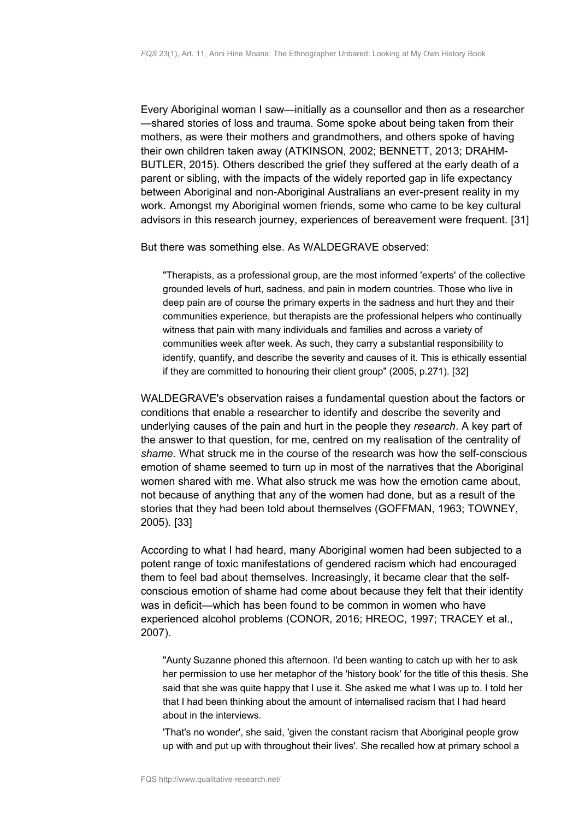Every Aboriginal woman I saw—initially as a counsellor and then as a researcher —shared stories of loss and trauma. Some spoke about being taken from their mothers, as were their mothers and grandmothers, and others spoke of having their own children taken away (ATKINSON, 2002; BENNETT, 2013; DRAHM-BUTLER, 2015). Others described the grief they suffered at the early death of a parent or sibling, with the impacts of the widely reported gap in life expectancy between Aboriginal and non-Aboriginal Australians an ever-present reality in my work. Amongst my Aboriginal women friends, some who came to be key cultural advisors in this research journey, experiences of bereavement were frequent. [31]

But there was something else. As WALDEGRAVE observed:

"Therapists, as a professional group, are the most informed 'experts' of the collective grounded levels of hurt, sadness, and pain in modern countries. Those who live in deep pain are of course the primary experts in the sadness and hurt they and their communities experience, but therapists are the professional helpers who continually witness that pain with many individuals and families and across a variety of communities week after week. As such, they carry a substantial responsibility to identify, quantify, and describe the severity and causes of it. This is ethically essential if they are committed to honouring their client group" (2005, p.271). [32]

WALDEGRAVE's observation raises a fundamental question about the factors or conditions that enable a researcher to identify and describe the severity and underlying causes of the pain and hurt in the people they *research*. A key part of the answer to that question, for me, centred on my realisation of the centrality of *shame*. What struck me in the course of the research was how the self-conscious emotion of shame seemed to turn up in most of the narratives that the Aboriginal women shared with me. What also struck me was how the emotion came about, not because of anything that any of the women had done, but as a result of the stories that they had been told about themselves (GOFFMAN, 1963; TOWNEY, 2005). [33]

According to what I had heard, many Aboriginal women had been subjected to a potent range of toxic manifestations of gendered racism which had encouraged them to feel bad about themselves. Increasingly, it became clear that the selfconscious emotion of shame had come about because they felt that their identity was in deficit—which has been found to be common in women who have experienced alcohol problems (CONOR, 2016; HREOC, 1997; TRACEY et al., 2007).

"Aunty Suzanne phoned this afternoon. I'd been wanting to catch up with her to ask her permission to use her metaphor of the 'history book' for the title of this thesis. She said that she was quite happy that I use it. She asked me what I was up to. I told her that I had been thinking about the amount of internalised racism that I had heard about in the interviews.

'That's no wonder', she said, 'given the constant racism that Aboriginal people grow up with and put up with throughout their lives'. She recalled how at primary school a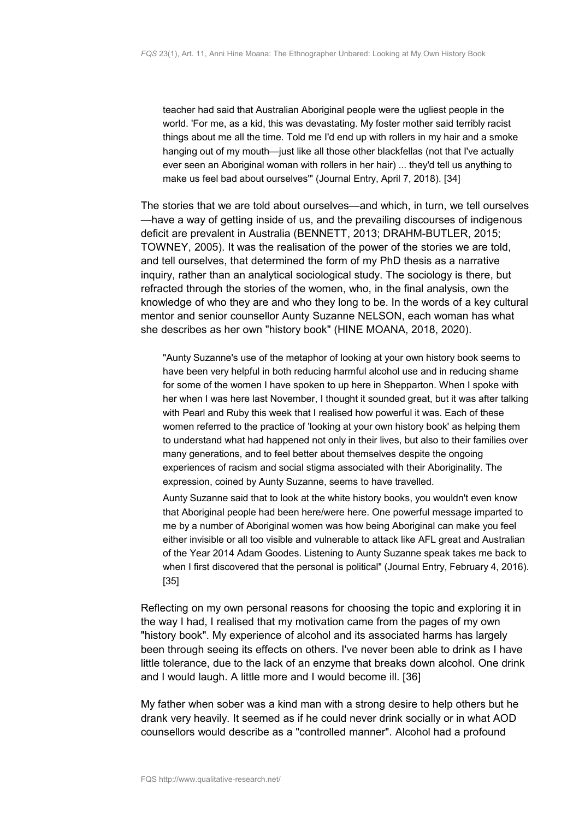teacher had said that Australian Aboriginal people were the ugliest people in the world. 'For me, as a kid, this was devastating. My foster mother said terribly racist things about me all the time. Told me I'd end up with rollers in my hair and a smoke hanging out of my mouth—just like all those other blackfellas (not that I've actually ever seen an Aboriginal woman with rollers in her hair) ... they'd tell us anything to make us feel bad about ourselves'" (Journal Entry, April 7, 2018). [34]

The stories that we are told about ourselves—and which, in turn, we tell ourselves —have a way of getting inside of us, and the prevailing discourses of indigenous deficit are prevalent in Australia (BENNETT, 2013; DRAHM-BUTLER, 2015; TOWNEY, 2005). It was the realisation of the power of the stories we are told, and tell ourselves, that determined the form of my PhD thesis as a narrative inquiry, rather than an analytical sociological study. The sociology is there, but refracted through the stories of the women, who, in the final analysis, own the knowledge of who they are and who they long to be. In the words of a key cultural mentor and senior counsellor Aunty Suzanne NELSON, each woman has what she describes as her own "history book" (HINE MOANA, 2018, 2020).

"Aunty Suzanne's use of the metaphor of looking at your own history book seems to have been very helpful in both reducing harmful alcohol use and in reducing shame for some of the women I have spoken to up here in Shepparton. When I spoke with her when I was here last November, I thought it sounded great, but it was after talking with Pearl and Ruby this week that I realised how powerful it was. Each of these women referred to the practice of 'looking at your own history book' as helping them to understand what had happened not only in their lives, but also to their families over many generations, and to feel better about themselves despite the ongoing experiences of racism and social stigma associated with their Aboriginality. The expression, coined by Aunty Suzanne, seems to have travelled.

Aunty Suzanne said that to look at the white history books, you wouldn't even know that Aboriginal people had been here/were here. One powerful message imparted to me by a number of Aboriginal women was how being Aboriginal can make you feel either invisible or all too visible and vulnerable to attack like AFL great and Australian of the Year 2014 Adam Goodes. Listening to Aunty Suzanne speak takes me back to when I first discovered that the personal is political" (Journal Entry, February 4, 2016). [35]

Reflecting on my own personal reasons for choosing the topic and exploring it in the way I had, I realised that my motivation came from the pages of my own "history book". My experience of alcohol and its associated harms has largely been through seeing its effects on others. I've never been able to drink as I have little tolerance, due to the lack of an enzyme that breaks down alcohol. One drink and I would laugh. A little more and I would become ill. [36]

My father when sober was a kind man with a strong desire to help others but he drank very heavily. It seemed as if he could never drink socially or in what AOD counsellors would describe as a "controlled manner"*.* Alcohol had a profound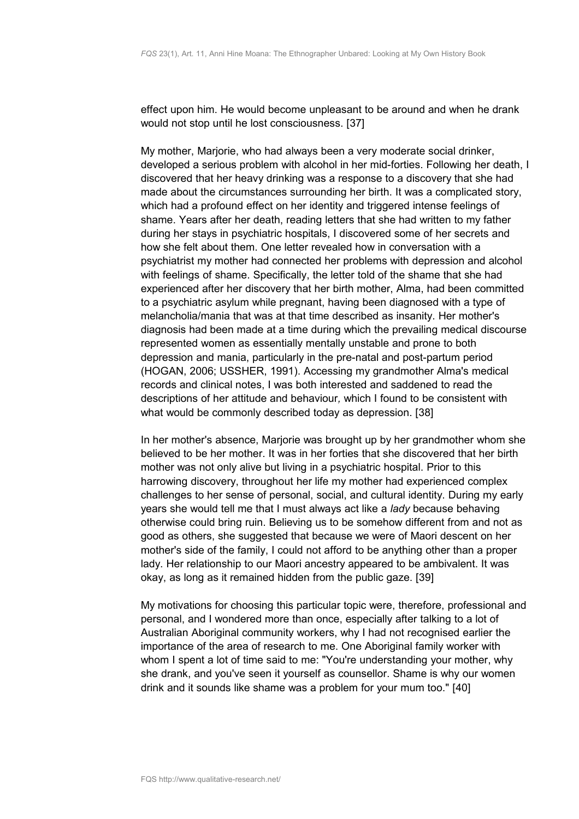effect upon him. He would become unpleasant to be around and when he drank would not stop until he lost consciousness. [37]

My mother, Marjorie, who had always been a very moderate social drinker, developed a serious problem with alcohol in her mid-forties. Following her death, I discovered that her heavy drinking was a response to a discovery that she had made about the circumstances surrounding her birth. It was a complicated story, which had a profound effect on her identity and triggered intense feelings of shame. Years after her death, reading letters that she had written to my father during her stays in psychiatric hospitals, I discovered some of her secrets and how she felt about them. One letter revealed how in conversation with a psychiatrist my mother had connected her problems with depression and alcohol with feelings of shame. Specifically, the letter told of the shame that she had experienced after her discovery that her birth mother, Alma, had been committed to a psychiatric asylum while pregnant, having been diagnosed with a type of melancholia/mania that was at that time described as insanity. Her mother's diagnosis had been made at a time during which the prevailing medical discourse represented women as essentially mentally unstable and prone to both depression and mania, particularly in the pre-natal and post-partum period (HOGAN, 2006; USSHER, 1991). Accessing my grandmother Alma's medical records and clinical notes, I was both interested and saddened to read the descriptions of her attitude and behaviour*,* which I found to be consistent with what would be commonly described today as depression. [38]

In her mother's absence, Marjorie was brought up by her grandmother whom she believed to be her mother. It was in her forties that she discovered that her birth mother was not only alive but living in a psychiatric hospital. Prior to this harrowing discovery, throughout her life my mother had experienced complex challenges to her sense of personal, social, and cultural identity. During my early years she would tell me that I must always act like a *lady* because behaving otherwise could bring ruin. Believing us to be somehow different from and not as good as others, she suggested that because we were of Maori descent on her mother's side of the family, I could not afford to be anything other than a proper lady. Her relationship to our Maori ancestry appeared to be ambivalent. It was okay, as long as it remained hidden from the public gaze. [39]

My motivations for choosing this particular topic were, therefore, professional and personal, and I wondered more than once, especially after talking to a lot of Australian Aboriginal community workers, why I had not recognised earlier the importance of the area of research to me. One Aboriginal family worker with whom I spent a lot of time said to me: "You're understanding your mother, why she drank, and you've seen it yourself as counsellor. Shame is why our women drink and it sounds like shame was a problem for your mum too." [40]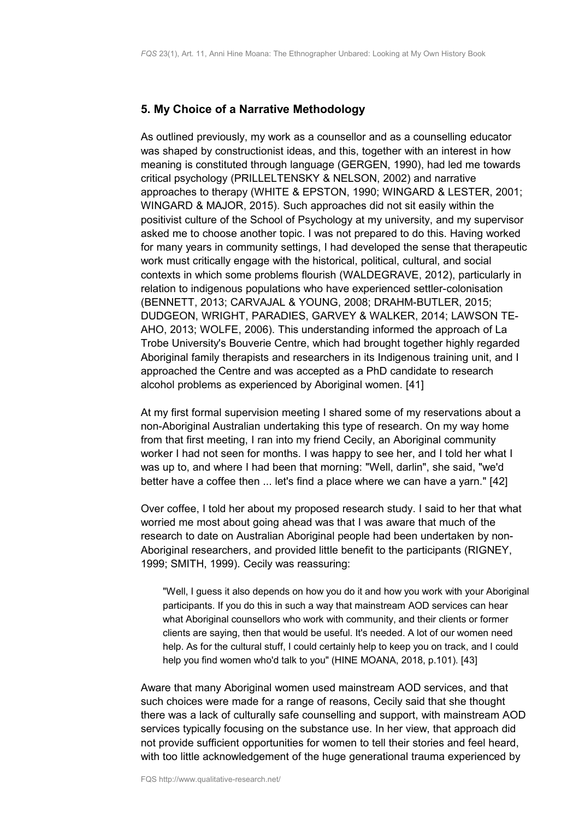## <span id="page-14-0"></span>**5. My Choice of a Narrative Methodology**

As outlined previously, my work as a counsellor and as a counselling educator was shaped by constructionist ideas, and this, together with an interest in how meaning is constituted through language (GERGEN, 1990), had led me towards critical psychology (PRILLELTENSKY & NELSON, 2002) and narrative approaches to therapy (WHITE & EPSTON, 1990; WINGARD & LESTER, 2001; WINGARD & MAJOR, 2015). Such approaches did not sit easily within the positivist culture of the School of Psychology at my university, and my supervisor asked me to choose another topic. I was not prepared to do this. Having worked for many years in community settings, I had developed the sense that therapeutic work must critically engage with the historical, political, cultural, and social contexts in which some problems flourish (WALDEGRAVE, 2012), particularly in relation to indigenous populations who have experienced settler-colonisation (BENNETT, 2013; CARVAJAL & YOUNG, 2008; DRAHM-BUTLER, 2015; DUDGEON, WRIGHT, PARADIES, GARVEY & WALKER, 2014; LAWSON TE-AHO, 2013; WOLFE, 2006). This understanding informed the approach of La Trobe University's Bouverie Centre, which had brought together highly regarded Aboriginal family therapists and researchers in its Indigenous training unit, and I approached the Centre and was accepted as a PhD candidate to research alcohol problems as experienced by Aboriginal women. [41]

At my first formal supervision meeting I shared some of my reservations about a non-Aboriginal Australian undertaking this type of research. On my way home from that first meeting, I ran into my friend Cecily, an Aboriginal community worker I had not seen for months. I was happy to see her, and I told her what I was up to, and where I had been that morning: "Well, darlin", she said, "we'd better have a coffee then ... let's find a place where we can have a yarn." [42]

Over coffee, I told her about my proposed research study. I said to her that what worried me most about going ahead was that I was aware that much of the research to date on Australian Aboriginal people had been undertaken by non-Aboriginal researchers, and provided little benefit to the participants (RIGNEY, 1999; SMITH, 1999). Cecily was reassuring:

"Well, I guess it also depends on how you do it and how you work with your Aboriginal participants. If you do this in such a way that mainstream AOD services can hear what Aboriginal counsellors who work with community, and their clients or former clients are saying, then that would be useful. It's needed. A lot of our women need help. As for the cultural stuff, I could certainly help to keep you on track, and I could help you find women who'd talk to you" (HINE MOANA, 2018, p.101). [43]

Aware that many Aboriginal women used mainstream AOD services, and that such choices were made for a range of reasons, Cecily said that she thought there was a lack of culturally safe counselling and support, with mainstream AOD services typically focusing on the substance use. In her view, that approach did not provide sufficient opportunities for women to tell their stories and feel heard, with too little acknowledgement of the huge generational trauma experienced by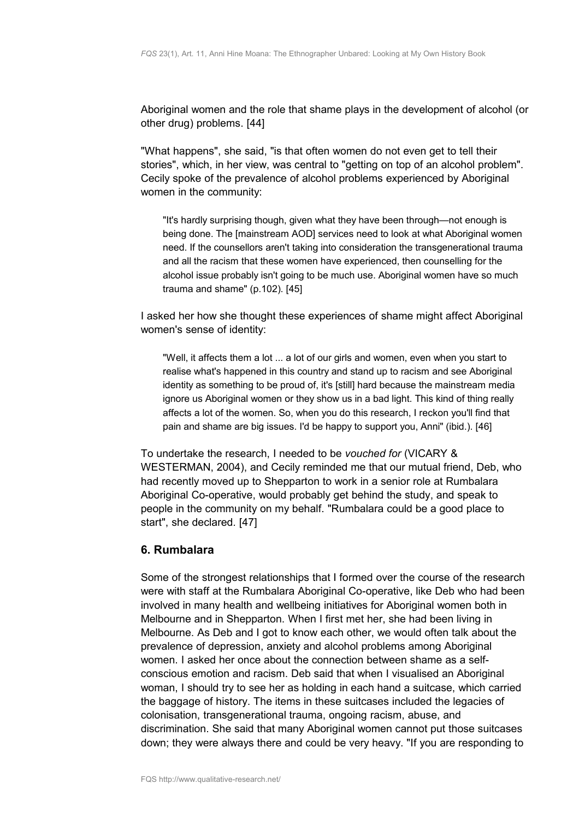Aboriginal women and the role that shame plays in the development of alcohol (or other drug) problems. [44]

"What happens", she said, "is that often women do not even get to tell their stories", which, in her view, was central to "getting on top of an alcohol problem". Cecily spoke of the prevalence of alcohol problems experienced by Aboriginal women in the community:

"It's hardly surprising though, given what they have been through—not enough is being done. The [mainstream AOD] services need to look at what Aboriginal women need. If the counsellors aren't taking into consideration the transgenerational trauma and all the racism that these women have experienced, then counselling for the alcohol issue probably isn't going to be much use. Aboriginal women have so much trauma and shame" (p.102). [45]

I asked her how she thought these experiences of shame might affect Aboriginal women's sense of identity:

"Well, it affects them a lot ... a lot of our girls and women, even when you start to realise what's happened in this country and stand up to racism and see Aboriginal identity as something to be proud of, it's [still] hard because the mainstream media ignore us Aboriginal women or they show us in a bad light. This kind of thing really affects a lot of the women. So, when you do this research, I reckon you'll find that pain and shame are big issues. I'd be happy to support you, Anni" (ibid.). [46]

To undertake the research, I needed to be *vouched for* (VICARY & WESTERMAN, 2004), and Cecily reminded me that our mutual friend, Deb, who had recently moved up to Shepparton to work in a senior role at Rumbalara Aboriginal Co-operative, would probably get behind the study, and speak to people in the community on my behalf. "Rumbalara could be a good place to start", she declared*.* [47]

## <span id="page-15-0"></span>**6. Rumbalara**

Some of the strongest relationships that I formed over the course of the research were with staff at the Rumbalara Aboriginal Co-operative, like Deb who had been involved in many health and wellbeing initiatives for Aboriginal women both in Melbourne and in Shepparton. When I first met her, she had been living in Melbourne. As Deb and I got to know each other, we would often talk about the prevalence of depression, anxiety and alcohol problems among Aboriginal women. I asked her once about the connection between shame as a selfconscious emotion and racism. Deb said that when I visualised an Aboriginal woman, I should try to see her as holding in each hand a suitcase, which carried the baggage of history. The items in these suitcases included the legacies of colonisation, transgenerational trauma, ongoing racism, abuse, and discrimination. She said that many Aboriginal women cannot put those suitcases down; they were always there and could be very heavy. "If you are responding to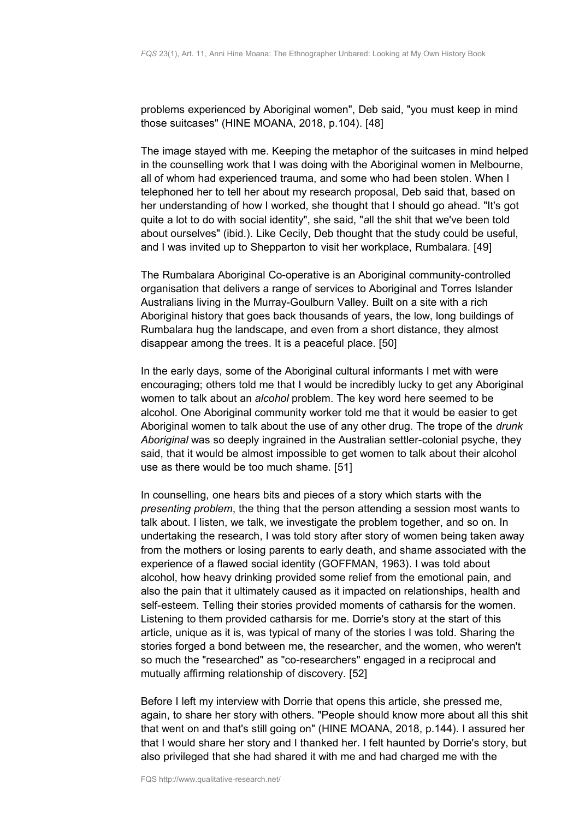problems experienced by Aboriginal women", Deb said, "you must keep in mind those suitcases" (HINE MOANA, 2018, p.104). [48]

The image stayed with me. Keeping the metaphor of the suitcases in mind helped in the counselling work that I was doing with the Aboriginal women in Melbourne, all of whom had experienced trauma, and some who had been stolen. When I telephoned her to tell her about my research proposal, Deb said that, based on her understanding of how I worked, she thought that I should go ahead. "It's got quite a lot to do with social identity", she said, "*a*ll the shit that we've been told about ourselves" (ibid.). Like Cecily, Deb thought that the study could be useful, and I was invited up to Shepparton to visit her workplace, Rumbalara. [49]

The Rumbalara Aboriginal Co-operative is an Aboriginal community-controlled organisation that delivers a range of services to Aboriginal and Torres Islander Australians living in the Murray-Goulburn Valley. Built on a site with a rich Aboriginal history that goes back thousands of years, the low, long buildings of Rumbalara hug the landscape, and even from a short distance, they almost disappear among the trees. It is a peaceful place. [50]

In the early days, some of the Aboriginal cultural informants I met with were encouraging; others told me that I would be incredibly lucky to get any Aboriginal women to talk about an *alcohol* problem. The key word here seemed to be alcohol. One Aboriginal community worker told me that it would be easier to get Aboriginal women to talk about the use of any other drug. The trope of the *drunk Aboriginal* was so deeply ingrained in the Australian settler-colonial psyche, they said, that it would be almost impossible to get women to talk about their alcohol use as there would be too much shame. [51]

In counselling, one hears bits and pieces of a story which starts with the *presenting problem*, the thing that the person attending a session most wants to talk about. I listen, we talk, we investigate the problem together, and so on. In undertaking the research, I was told story after story of women being taken away from the mothers or losing parents to early death, and shame associated with the experience of a flawed social identity (GOFFMAN, 1963). I was told about alcohol, how heavy drinking provided some relief from the emotional pain, and also the pain that it ultimately caused as it impacted on relationships, health and self-esteem. Telling their stories provided moments of catharsis for the women. Listening to them provided catharsis for me. Dorrie's story at the start of this article, unique as it is, was typical of many of the stories I was told. Sharing the stories forged a bond between me, the researcher, and the women, who weren't so much the "researched" as "co-researchers" engaged in a reciprocal and mutually affirming relationship of discovery. [52]

Before I left my interview with Dorrie that opens this article, she pressed me, again, to share her story with others. "People should know more about all this shit that went on and that's still going on" (HINE MOANA, 2018, p.144). I assured her that I would share her story and I thanked her. I felt haunted by Dorrie's story, but also privileged that she had shared it with me and had charged me with the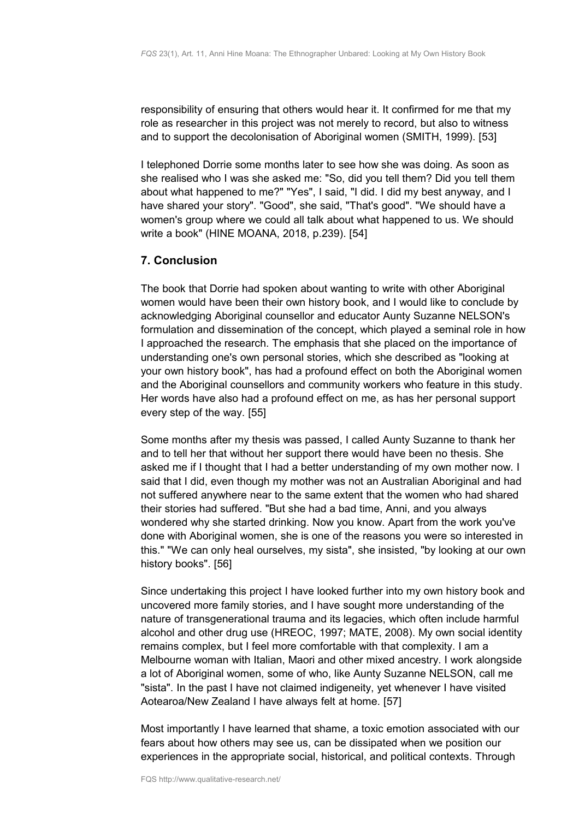responsibility of ensuring that others would hear it. It confirmed for me that my role as researcher in this project was not merely to record, but also to witness and to support the decolonisation of Aboriginal women (SMITH, 1999). [53]

I telephoned Dorrie some months later to see how she was doing. As soon as she realised who I was she asked me: "So, did you tell them? Did you tell them about what happened to me?" "Yes", I said, "I did. I did my best anyway, and I have shared your story". "Good", she said, "That's good". "We should have a women's group where we could all talk about what happened to us. We should write a book" (HINE MOANA, 2018, p.239). [54]

## <span id="page-17-0"></span>**7. Conclusion**

The book that Dorrie had spoken about wanting to write with other Aboriginal women would have been their own history book, and I would like to conclude by acknowledging Aboriginal counsellor and educator Aunty Suzanne NELSON's formulation and dissemination of the concept, which played a seminal role in how I approached the research. The emphasis that she placed on the importance of understanding one's own personal stories, which she described as "looking at your own history book", has had a profound effect on both the Aboriginal women and the Aboriginal counsellors and community workers who feature in this study. Her words have also had a profound effect on me, as has her personal support every step of the way. [55]

Some months after my thesis was passed, I called Aunty Suzanne to thank her and to tell her that without her support there would have been no thesis. She asked me if I thought that I had a better understanding of my own mother now. I said that I did, even though my mother was not an Australian Aboriginal and had not suffered anywhere near to the same extent that the women who had shared their stories had suffered. "But she had a bad time, Anni, and you always wondered why she started drinking. Now you know. Apart from the work you've done with Aboriginal women, she is one of the reasons you were so interested in this." "We can only heal ourselves, my sista", she insisted, "by looking at our own history books". [56]

Since undertaking this project I have looked further into my own history book and uncovered more family stories, and I have sought more understanding of the nature of transgenerational trauma and its legacies, which often include harmful alcohol and other drug use (HREOC, 1997; MATE, 2008). My own social identity remains complex, but I feel more comfortable with that complexity. I am a Melbourne woman with Italian, Maori and other mixed ancestry. I work alongside a lot of Aboriginal women, some of who, like Aunty Suzanne NELSON, call me "sista". In the past I have not claimed indigeneity, yet whenever I have visited Aotearoa/New Zealand I have always felt at home. [57]

Most importantly I have learned that shame, a toxic emotion associated with our fears about how others may see us, can be dissipated when we position our experiences in the appropriate social, historical, and political contexts. Through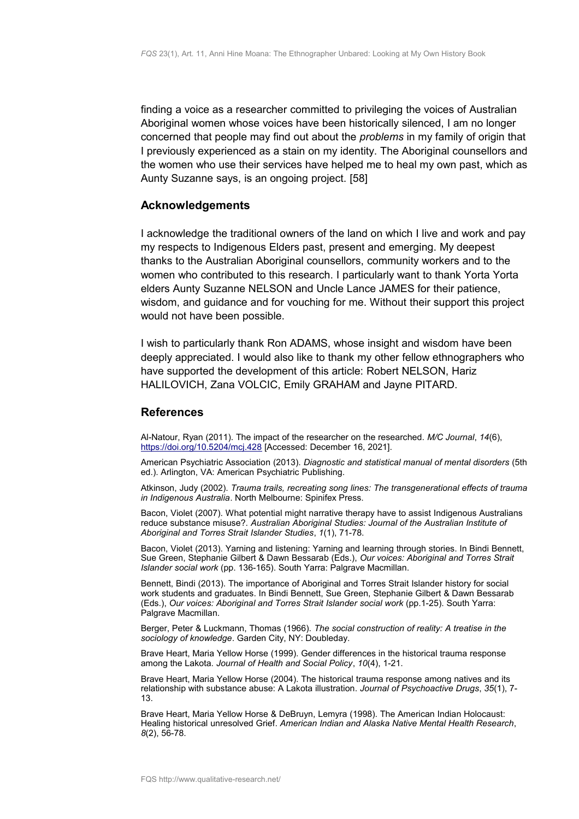finding a voice as a researcher committed to privileging the voices of Australian Aboriginal women whose voices have been historically silenced, I am no longer concerned that people may find out about the *problems* in my family of origin that I previously experienced as a stain on my identity. The Aboriginal counsellors and the women who use their services have helped me to heal my own past, which as Aunty Suzanne says, is an ongoing project. [58]

#### <span id="page-18-1"></span>**Acknowledgements**

I acknowledge the traditional owners of the land on which I live and work and pay my respects to Indigenous Elders past, present and emerging. My deepest thanks to the Australian Aboriginal counsellors, community workers and to the women who contributed to this research. I particularly want to thank Yorta Yorta elders Aunty Suzanne NELSON and Uncle Lance JAMES for their patience, wisdom, and guidance and for vouching for me. Without their support this project would not have been possible.

I wish to particularly thank Ron ADAMS, whose insight and wisdom have been deeply appreciated. I would also like to thank my other fellow ethnographers who have supported the development of this article: Robert NELSON, Hariz HALILOVICH, Zana VOLCIC, Emily GRAHAM and Jayne PITARD.

#### <span id="page-18-0"></span>**References**

Al-Natour, Ryan (2011). The impact of the researcher on the researched. *M/C Journal*, *14*(6), <https://doi.org/10.5204/mcj.428>[Accessed: December 16, 2021].

American Psychiatric Association (2013). *Diagnostic and statistical manual of mental disorders* (5th ed.). Arlington, VA: American Psychiatric Publishing.

Atkinson, Judy (2002). *Trauma trails, recreating song lines: The transgenerational effects of trauma in Indigenous Australia*. North Melbourne: Spinifex Press.

Bacon, Violet (2007). What potential might narrative therapy have to assist Indigenous Australians reduce substance misuse?. *Australian Aboriginal Studies: Journal of the Australian Institute of Aboriginal and Torres Strait Islander Studies*, *1*(1), 71-78.

Bacon, Violet (2013). Yarning and listening: Yarning and learning through stories. In Bindi Bennett, Sue Green, Stephanie Gilbert & Dawn Bessarab (Eds.), *Our voices: Aboriginal and Torres Strait Islander social work* (pp. 136-165). South Yarra: Palgrave Macmillan.

Bennett, Bindi (2013). The importance of Aboriginal and Torres Strait Islander history for social work students and graduates. In Bindi Bennett, Sue Green, Stephanie Gilbert & Dawn Bessarab (Eds.), *Our voices: Aboriginal and Torres Strait Islander social work* (pp.1-25). South Yarra: Palgrave Macmillan.

Berger, Peter & Luckmann, Thomas (1966). *The social construction of reality: A treatise in the sociology of knowledge*. Garden City, NY: Doubleday.

Brave Heart, Maria Yellow Horse (1999). Gender differences in the historical trauma response among the Lakota. *Journal of Health and Social Policy*, *10*(4), 1-21.

Brave Heart, Maria Yellow Horse (2004). The historical trauma response among natives and its relationship with substance abuse: A Lakota illustration. *Journal of Psychoactive Drugs*, *35*(1), 7- 13.

Brave Heart, Maria Yellow Horse & DeBruyn, Lemyra (1998). The American Indian Holocaust: Healing historical unresolved Grief. *American Indian and Alaska Native Mental Health Research*, *8*(2), 56-78.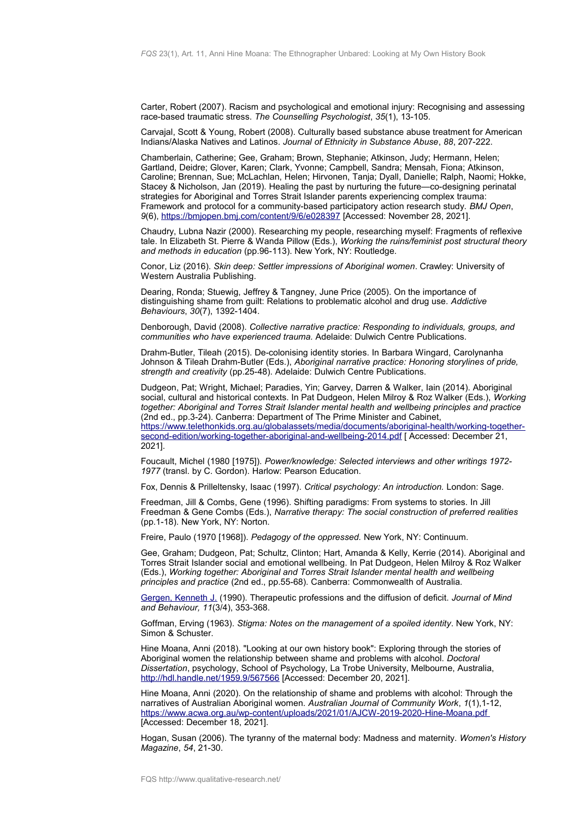Carter, Robert (2007). Racism and psychological and emotional injury: Recognising and assessing race-based traumatic stress. *The Counselling Psychologist*, *35*(1), 13-105.

Carvajal, Scott & Young, Robert (2008). Culturally based substance abuse treatment for American Indians/Alaska Natives and Latinos. *Journal of Ethnicity in Substance Abuse*, *88*, 207-222.

Chamberlain, Catherine; Gee, Graham; Brown, Stephanie; Atkinson, Judy; Hermann, Helen; Gartland, Deidre; Glover, Karen; Clark, Yvonne; Campbell, Sandra; Mensah, Fiona; Atkinson, Caroline; Brennan, Sue; McLachlan, Helen; Hirvonen, Tanja; Dyall, Danielle; Ralph, Naomi; Hokke, Stacey & Nicholson, Jan (2019). Healing the past by nurturing the future—co-designing perinatal strategies for Aboriginal and Torres Strait Islander parents experiencing complex trauma: Framework and protocol for a community-based participatory action research study. *BMJ Open*, *9*(6),<https://bmjopen.bmj.com/content/9/6/e028397>[Accessed: November 28, 2021].

Chaudry, Lubna Nazir (2000). Researching my people, researching myself: Fragments of reflexive tale. In Elizabeth St. Pierre & Wanda Pillow (Eds.), *Working the ruins/feminist post structural theory and methods in education* (pp.96-113). New York, NY: Routledge.

Conor, Liz (2016). *Skin deep: Settler impressions of Aboriginal women*. Crawley: University of Western Australia Publishing.

Dearing, Ronda; Stuewig, Jeffrey & Tangney, June Price (2005). On the importance of distinguishing shame from guilt: Relations to problematic alcohol and drug use. *Addictive Behaviours*, *30*(7), 1392-1404.

Denborough, David (2008). *Collective narrative practice: Responding to individuals, groups, and communities who have experienced trauma.* Adelaide: Dulwich Centre Publications.

Drahm-Butler, Tileah (2015). De-colonising identity stories. In Barbara Wingard, Carolynanha Johnson & Tileah Drahm-Butler (Eds.), *Aboriginal narrative practice: Honoring storylines of pride, strength and creativity* (pp.25-48). Adelaide: Dulwich Centre Publications.

Dudgeon, Pat; Wright, Michael; Paradies, Yin; Garvey, Darren & Walker, Iain (2014). Aboriginal social, cultural and historical contexts. In Pat Dudgeon, Helen Milroy & Roz Walker (Eds.), *Working together: Aboriginal and Torres Strait Islander mental health and wellbeing principles and practice* (2nd ed., pp.3-24). Canberra: Department of The Prime Minister and Cabinet, [https://www.telethonkids.org.au/globalassets/media/documents/aboriginal-health/working-together](https://www.telethonkids.org.au/globalassets/media/documents/aboriginal-health/working-together-second-edition/working-together-aboriginal-and-wellbeing-2014.pdf)[second-edition/working-together-aboriginal-and-wellbeing-2014.pdf](https://www.telethonkids.org.au/globalassets/media/documents/aboriginal-health/working-together-second-edition/working-together-aboriginal-and-wellbeing-2014.pdf) [ Accessed: December 21, 2021].

Foucault, Michel (1980 [1975]). *Power/knowledge: Selected interviews and other writings 1972- 1977* (transl. by C. Gordon). Harlow: Pearson Education.

Fox, Dennis & Prilleltensky, Isaac (1997). *Critical psychology: An introduction.* London: Sage.

Freedman, Jill & Combs, Gene (1996). Shifting paradigms: From systems to stories. In Jill Freedman & Gene Combs (Eds.), *Narrative therapy: The social construction of preferred realities* (pp.1-18). New York, NY: Norton.

Freire, Paulo (1970 [1968]). *Pedagogy of the oppressed.* New York, NY: Continuum.

Gee, Graham; Dudgeon, Pat; Schultz, Clinton; Hart, Amanda & Kelly, Kerrie (2014). Aboriginal and Torres Strait Islander social and emotional wellbeing. In Pat Dudgeon, Helen Milroy & Roz Walker (Eds.), *Working together: Aboriginal and Torres Strait Islander mental health and wellbeing principles and practice* (2nd ed., pp.55-68). Canberra: Commonwealth of Australia.

[Gergen, Kenneth J.](https://www.qualitative-research.net/index.php/fqs/people/board) (1990). Therapeutic professions and the diffusion of deficit. *Journal of Mind and Behaviour, 11*(3/4), 353-368.

Goffman, Erving (1963). *Stigma: Notes on the management of a spoiled identity*. New York, NY: Simon & Schuster.

Hine Moana, Anni (2018). "Looking at our own history book": Exploring through the stories of Aboriginal women the relationship between shame and problems with alcohol. *Doctoral Dissertation*, psychology, School of Psychology, La Trobe University, Melbourne, Australia, <http://hdl.handle.net/1959.9/567566>[Accessed: December 20, 2021].

Hine Moana, Anni (2020). On the relationship of shame and problems with alcohol: Through the narratives of Australian Aboriginal women. *Australian Journal of Community Work*, *1*(1),1-12, <https://www.acwa.org.au/wp-content/uploads/2021/01/AJCW-2019-2020-Hine-Moana.pdf> [Accessed: December 18, 2021].

Hogan, Susan (2006). The tyranny of the maternal body: Madness and maternity. *Women's History Magazine*, *54*, 21-30.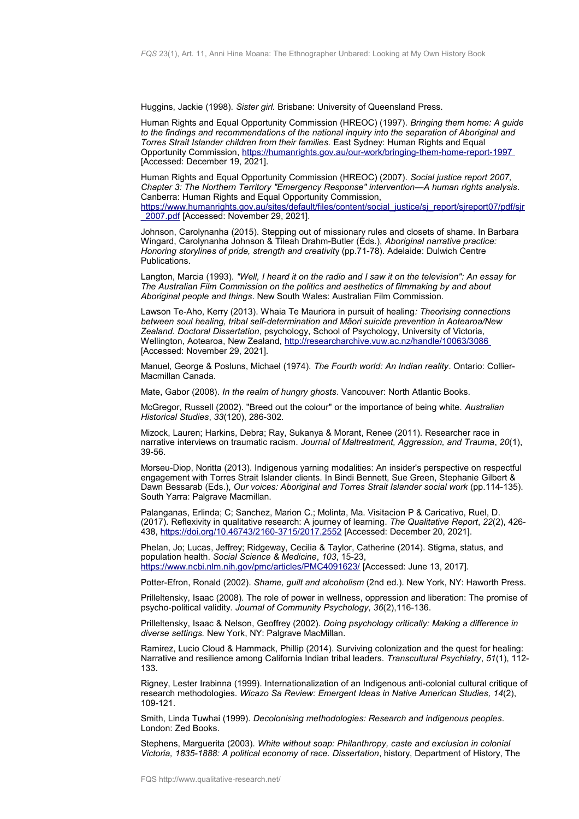Huggins, Jackie (1998). *Sister girl.* Brisbane: University of Queensland Press.

Human Rights and Equal Opportunity Commission (HREOC) (1997)*. Bringing them home: A guide to the findings and recommendations of the national inquiry into the separation of Aboriginal and Torres Strait Islander children from their families.* East Sydney: Human Rights and Equal Opportunity Commission,<https://humanrights.gov.au/our-work/bringing-them-home-report-1997> [Accessed: December 19, 2021].

Human Rights and Equal Opportunity Commission (HREOC) (2007). *Social justice report 2007, Chapter 3: The Northern Territory "Emergency Response" intervention—A human rights analysis*. Canberra: Human Rights and Equal Opportunity Commission, [https://www.humanrights.gov.au/sites/default/files/content/social\\_justice/sj\\_report/sjreport07/pdf/sjr](https://www.humanrights.gov.au/sites/default/files/content/social_justice/sj_report/sjreport07/pdf/sjr_2007.pdf) 2007.pdf [Accessed: November 29, 2021].

Johnson, Carolynanha (2015). Stepping out of missionary rules and closets of shame. In Barbara Wingard, Carolynanha Johnson & Tileah Drahm-Butler (Eds.), *Aboriginal narrative practice: Honoring storylines of pride, strength and creativit*y (pp.71-78). Adelaide: Dulwich Centre Publications.

Langton, Marcia (1993). *"Well, I heard it on the radio and I saw it on the television": An essay for The Australian Film Commission on the politics and aesthetics of filmmaking by and about Aboriginal people and things*. New South Wales: Australian Film Commission.

Lawson Te-Aho, Kerry (2013). Whaia Te Mauriora in pursuit of healing*: Theorising connections between soul healing, tribal self-determination and Maori suicide prevention in Aotearoa/New Zealand. Doctoral Dissertation*, psychology, School of Psychology, University of Victoria, Wellington, Aotearoa, New Zealand,<http://researcharchive.vuw.ac.nz/handle/10063/3086> [Accessed: November 29, 2021].

Manuel, George & Posluns, Michael (1974). *The Fourth world: An Indian reality*. Ontario: Collier-Macmillan Canada.

Mate, Gabor (2008). *In the realm of hungry ghosts*. Vancouver: North Atlantic Books.

McGregor, Russell (2002). "Breed out the colour" or the importance of being white. *Australian Historical Studies*, *33*(120), 286-302.

Mizock, Lauren; Harkins, Debra; Ray, Sukanya & Morant, Renee (2011). Researcher race in narrative interviews on traumatic racism. *Journal of Maltreatment, Aggression, and Trauma*, *20*(1), 39-56.

Morseu-Diop, Noritta (2013). Indigenous yarning modalities: An insider's perspective on respectful engagement with Torres Strait Islander clients. In Bindi Bennett, Sue Green, Stephanie Gilbert & Dawn Bessarab (Eds.), *Our voices: Aboriginal and Torres Strait Islander social work* (pp.114-135). South Yarra: Palgrave Macmillan.

Palanganas, Erlinda; C; Sanchez, Marion C.; Molinta, Ma. Visitacion P & Caricativo, Ruel, D. (2017). Reflexivity in qualitative research: A journey of learning. *The Qualitative Report*, *22*(2), 426- 438,<https://doi.org/10.46743/2160-3715/2017.2552>[Accessed: December 20, 2021].

Phelan, Jo; Lucas, Jeffrey; Ridgeway, Cecilia & Taylor, Catherine (2014). Stigma, status, and population health. *Social Science & Medicine*, *103*, 15-23, <https://www.ncbi.nlm.nih.gov/pmc/articles/PMC4091623/>[Accessed: June 13, 2017].

Potter-Efron, Ronald (2002). *Shame, guilt and alcoholism* (2nd ed.). New York, NY: Haworth Press.

Prilleltensky, Isaac (2008). The role of power in wellness, oppression and liberation: The promise of psycho-political validity. *Journal of Community Psychology, 36*(2),116-136.

Prilleltensky, Isaac & Nelson, Geoffrey (2002). *Doing psychology critically: Making a difference in diverse settings.* New York, NY: Palgrave MacMillan.

Ramirez, Lucio Cloud & Hammack, Phillip (2014). Surviving colonization and the quest for healing: Narrative and resilience among California Indian tribal leaders. *Transcultural Psychiatry*, *51*(1), 112- 133.

Rigney, Lester Irabinna (1999). Internationalization of an Indigenous anti-colonial cultural critique of research methodologies. *Wicazo Sa Review: Emergent Ideas in Native American Studies, 14*(2), 109-121.

Smith, Linda Tuwhai (1999). *Decolonising methodologies: Research and indigenous peoples*. London: Zed Books.

Stephens, Marguerita (2003). *White without soap: Philanthropy, caste and exclusion in colonial Victoria, 1835-1888: A political economy of race. Dissertation*, history, Department of History, The